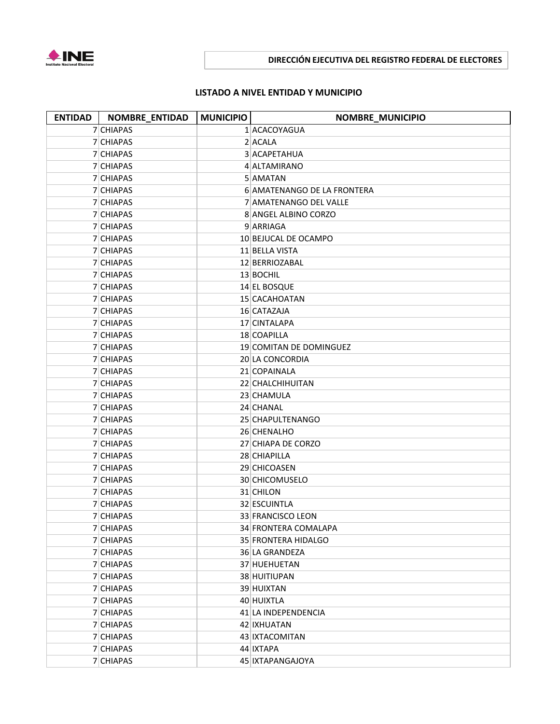

## **DIRECCIÓN EJECUTIVA DEL REGISTRO FEDERAL DE ELECTORES**

## **LISTADO A NIVEL ENTIDAD Y MUNICIPIO**

| <b>ENTIDAD</b> | NOMBRE_ENTIDAD | <b>MUNICIPIO</b> | <b>NOMBRE_MUNICIPIO</b>     |
|----------------|----------------|------------------|-----------------------------|
|                | 7 CHIAPAS      |                  | 1 ACACOYAGUA                |
|                | 7 CHIAPAS      |                  | 2 ACALA                     |
|                | 7 CHIAPAS      |                  | 3 ACAPETAHUA                |
|                | 7 CHIAPAS      |                  | 4 ALTAMIRANO                |
|                | 7 CHIAPAS      |                  | 5 AMATAN                    |
|                | 7 CHIAPAS      |                  | 6 AMATENANGO DE LA FRONTERA |
|                | 7 CHIAPAS      |                  | 7 AMATENANGO DEL VALLE      |
|                | 7 CHIAPAS      |                  | 8 ANGEL ALBINO CORZO        |
|                | 7 CHIAPAS      |                  | 9 ARRIAGA                   |
|                | 7 CHIAPAS      |                  | 10 BEJUCAL DE OCAMPO        |
|                | 7 CHIAPAS      |                  | 11 BELLA VISTA              |
|                | 7 CHIAPAS      |                  | 12 BERRIOZABAL              |
|                | 7 CHIAPAS      |                  | 13 BOCHIL                   |
|                | 7 CHIAPAS      |                  | 14 EL BOSQUE                |
|                | 7 CHIAPAS      |                  | 15 CACAHOATAN               |
|                | 7 CHIAPAS      |                  | 16 CATAZAJA                 |
|                | 7 CHIAPAS      |                  | 17 CINTALAPA                |
|                | 7 CHIAPAS      |                  | 18 COAPILLA                 |
|                | 7 CHIAPAS      |                  | 19 COMITAN DE DOMINGUEZ     |
|                | 7 CHIAPAS      |                  | 20 LA CONCORDIA             |
|                | 7 CHIAPAS      |                  | 21 COPAINALA                |
|                | 7 CHIAPAS      |                  | 22 CHALCHIHUITAN            |
|                | 7 CHIAPAS      |                  | 23 CHAMULA                  |
|                | 7 CHIAPAS      |                  | 24 CHANAL                   |
|                | 7 CHIAPAS      |                  | 25 CHAPULTENANGO            |
|                | 7 CHIAPAS      |                  | 26 CHENALHO                 |
|                | 7 CHIAPAS      |                  | 27 CHIAPA DE CORZO          |
|                | 7 CHIAPAS      |                  | 28 CHIAPILLA                |
|                | 7 CHIAPAS      |                  | 29 CHICOASEN                |
|                | 7 CHIAPAS      |                  | 30 CHICOMUSELO              |
|                | 7 CHIAPAS      |                  | 31 CHILON                   |
|                | 7 CHIAPAS      |                  | 32 ESCUINTLA                |
|                | 7 CHIAPAS      |                  | 33 FRANCISCO LEON           |
|                | 7 CHIAPAS      |                  | 34 FRONTERA COMALAPA        |
|                | 7 CHIAPAS      |                  | 35 FRONTERA HIDALGO         |
|                | 7 CHIAPAS      |                  | 36 LA GRANDEZA              |
|                | 7 CHIAPAS      |                  | 37 HUEHUETAN                |
|                | 7 CHIAPAS      |                  | 38 HUITIUPAN                |
|                | 7 CHIAPAS      |                  | 39 HUIXTAN                  |
|                | 7 CHIAPAS      |                  | 40 HUIXTLA                  |
|                | 7 CHIAPAS      |                  | 41 LA INDEPENDENCIA         |
|                | 7 CHIAPAS      |                  | 42 IXHUATAN                 |
|                | 7 CHIAPAS      |                  | 43 IXTACOMITAN              |
|                | 7 CHIAPAS      |                  | 44 IXTAPA                   |
|                | 7 CHIAPAS      |                  | 45 IXTAPANGAJOYA            |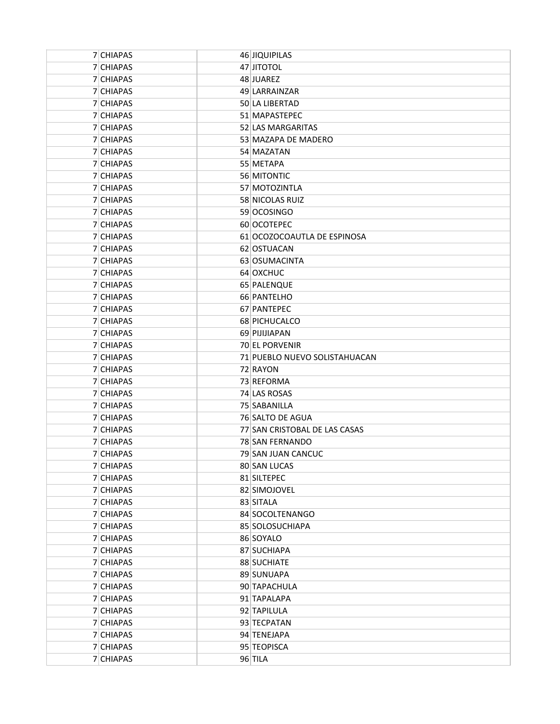| 7 CHIAPAS | 46 JIQUIPILAS                 |
|-----------|-------------------------------|
| 7 CHIAPAS | 47 JITOTOL                    |
| 7 CHIAPAS | 48 JUAREZ                     |
| 7 CHIAPAS | 49 LARRAINZAR                 |
| 7 CHIAPAS | 50 LA LIBERTAD                |
| 7 CHIAPAS | 51 MAPASTEPEC                 |
| 7 CHIAPAS | 52 LAS MARGARITAS             |
| 7 CHIAPAS | 53 MAZAPA DE MADERO           |
| 7 CHIAPAS | 54 MAZATAN                    |
| 7 CHIAPAS | 55 METAPA                     |
| 7 CHIAPAS | 56 MITONTIC                   |
| 7 CHIAPAS | 57 MOTOZINTLA                 |
| 7 CHIAPAS | 58 NICOLAS RUIZ               |
| 7 CHIAPAS | 59 OCOSINGO                   |
| 7 CHIAPAS | 60 OCOTEPEC                   |
| 7 CHIAPAS | 61 OCOZOCOAUTLA DE ESPINOSA   |
| 7 CHIAPAS | 62 OSTUACAN                   |
| 7 CHIAPAS | 63 OSUMACINTA                 |
| 7 CHIAPAS | 64 OXCHUC                     |
| 7 CHIAPAS | 65 PALENQUE                   |
| 7 CHIAPAS | 66 PANTELHO                   |
| 7 CHIAPAS | 67 PANTEPEC                   |
| 7 CHIAPAS | 68 PICHUCALCO                 |
| 7 CHIAPAS | 69 PIJIJIAPAN                 |
| 7 CHIAPAS | 70 EL PORVENIR                |
| 7 CHIAPAS | 71 PUEBLO NUEVO SOLISTAHUACAN |
| 7 CHIAPAS | 72 RAYON                      |
| 7 CHIAPAS | 73 REFORMA                    |
| 7 CHIAPAS | 74 LAS ROSAS                  |
| 7 CHIAPAS | 75 SABANILLA                  |
| 7 CHIAPAS | 76 SALTO DE AGUA              |
| 7 CHIAPAS | 77 SAN CRISTOBAL DE LAS CASAS |
| 7 CHIAPAS | 78 SAN FERNANDO               |
| 7 CHIAPAS | 79 SAN JUAN CANCUC            |
| 7 CHIAPAS | 80 SAN LUCAS                  |
| 7 CHIAPAS | 81 SILTEPEC                   |
| 7 CHIAPAS | 82 SIMOJOVEL                  |
| 7 CHIAPAS | 83 SITALA                     |
| 7 CHIAPAS | 84 SOCOLTENANGO               |
| 7 CHIAPAS | 85 SOLOSUCHIAPA               |
| 7 CHIAPAS | 86 SOYALO                     |
| 7 CHIAPAS | 87 SUCHIAPA                   |
| 7 CHIAPAS | 88 SUCHIATE                   |
| 7 CHIAPAS | 89 SUNUAPA                    |
| 7 CHIAPAS | 90 TAPACHULA                  |
| 7 CHIAPAS | 91 TAPALAPA                   |
| 7 CHIAPAS | 92 TAPILULA                   |
| 7 CHIAPAS | 93 TECPATAN                   |
| 7 CHIAPAS | 94 TENEJAPA                   |
| 7 CHIAPAS | 95 TEOPISCA                   |
| 7 CHIAPAS | $96$ TILA                     |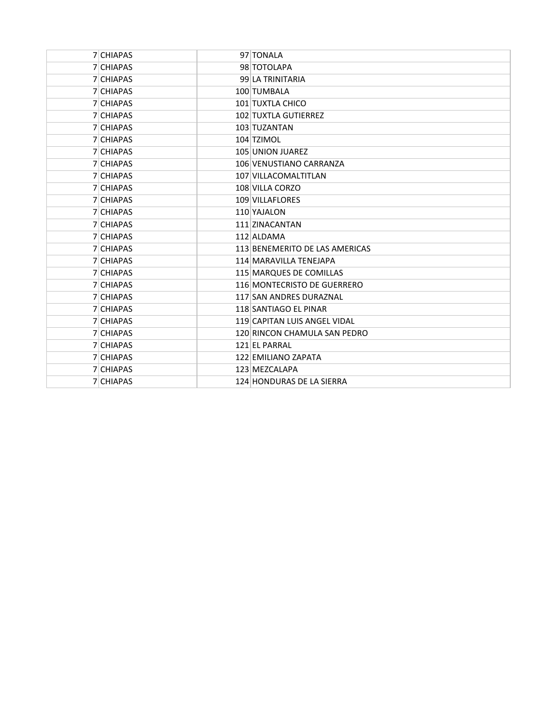| 7 CHIAPAS | 97 TONALA                      |
|-----------|--------------------------------|
| 7 CHIAPAS | 98 TOTOLAPA                    |
| 7 CHIAPAS | 99 LA TRINITARIA               |
| 7 CHIAPAS | 100 TUMBALA                    |
| 7 CHIAPAS | 101 TUXTLA CHICO               |
| 7 CHIAPAS | 102 TUXTLA GUTIERREZ           |
| 7 CHIAPAS | 103 TUZANTAN                   |
| 7 CHIAPAS | 104 TZIMOL                     |
| 7 CHIAPAS | 105 UNION JUAREZ               |
| 7 CHIAPAS | 106 VENUSTIANO CARRANZA        |
| 7 CHIAPAS | 107 VILLACOMALTITLAN           |
| 7 CHIAPAS | 108 VILLA CORZO                |
| 7 CHIAPAS | 109 VILLAFLORES                |
| 7 CHIAPAS | 110 YAJALON                    |
| 7 CHIAPAS | 111 ZINACANTAN                 |
| 7 CHIAPAS | 112 ALDAMA                     |
| 7 CHIAPAS | 113 BENEMERITO DE LAS AMERICAS |
| 7 CHIAPAS | 114 MARAVILLA TENEJAPA         |
| 7 CHIAPAS | 115 MARQUES DE COMILLAS        |
| 7 CHIAPAS | 116 MONTECRISTO DE GUERRERO    |
| 7 CHIAPAS | 117 SAN ANDRES DURAZNAL        |
| 7 CHIAPAS | 118 SANTIAGO EL PINAR          |
| 7 CHIAPAS | 119 CAPITAN LUIS ANGEL VIDAL   |
| 7 CHIAPAS | 120 RINCON CHAMULA SAN PEDRO   |
| 7 CHIAPAS | 121 EL PARRAL                  |
| 7 CHIAPAS | 122 EMILIANO ZAPATA            |
| 7 CHIAPAS | 123 MEZCALAPA                  |
| 7 CHIAPAS | 124 HONDURAS DE LA SIERRA      |